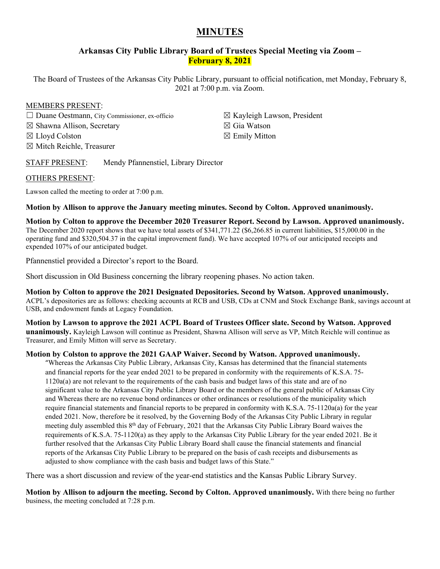# **MINUTES**

# **Arkansas City Public Library Board of Trustees Special Meeting via Zoom – February 8, 2021**

The Board of Trustees of the Arkansas City Public Library, pursuant to official notification, met Monday, February 8, 2021 at 7:00 p.m. via Zoom.

#### MEMBERS PRESENT:

☐ Duane Oestmann, City Commissioner, ex-officio ☒ Shawna Allison, Secretary ☒ Lloyd Colston ☒ Mitch Reichle, Treasurer

☒ Kayleigh Lawson, President ☒ Gia Watson  $\boxtimes$  Emily Mitton

# STAFF PRESENT: Mendy Pfannenstiel, Library Director

## OTHERS PRESENT:

Lawson called the meeting to order at 7:00 p.m.

## **Motion by Allison to approve the January meeting minutes. Second by Colton. Approved unanimously.**

**Motion by Colton to approve the December 2020 Treasurer Report. Second by Lawson. Approved unanimously.**  The December 2020 report shows that we have total assets of \$341,771.22 (\$6,266.85 in current liabilities, \$15,000.00 in the operating fund and \$320,504.37 in the capital improvement fund). We have accepted 107% of our anticipated receipts and expended 107% of our anticipated budget.

Pfannenstiel provided a Director's report to the Board.

Short discussion in Old Business concerning the library reopening phases. No action taken.

**Motion by Colton to approve the 2021 Designated Depositories. Second by Watson. Approved unanimously.** ACPL's depositories are as follows: checking accounts at RCB and USB, CDs at CNM and Stock Exchange Bank, savings account at USB, and endowment funds at Legacy Foundation.

**Motion by Lawson to approve the 2021 ACPL Board of Trustees Officer slate. Second by Watson. Approved unanimously.** Kayleigh Lawson will continue as President, Shawna Allison will serve as VP, Mitch Reichle will continue as Treasurer, and Emily Mitton will serve as Secretary.

## **Motion by Colston to approve the 2021 GAAP Waiver. Second by Watson. Approved unanimously.**

"Whereas the Arkansas City Public Library, Arkansas City, Kansas has determined that the financial statements and financial reports for the year ended 2021 to be prepared in conformity with the requirements of K.S.A. 75- 1120a(a) are not relevant to the requirements of the cash basis and budget laws of this state and are of no significant value to the Arkansas City Public Library Board or the members of the general public of Arkansas City and Whereas there are no revenue bond ordinances or other ordinances or resolutions of the municipality which require financial statements and financial reports to be prepared in conformity with K.S.A. 75-1120a(a) for the year ended 2021. Now, therefore be it resolved, by the Governing Body of the Arkansas City Public Library in regular meeting duly assembled this 8th day of February, 2021 that the Arkansas City Public Library Board waives the requirements of K.S.A. 75-1120(a) as they apply to the Arkansas City Public Library for the year ended 2021. Be it further resolved that the Arkansas City Public Library Board shall cause the financial statements and financial reports of the Arkansas City Public Library to be prepared on the basis of cash receipts and disbursements as adjusted to show compliance with the cash basis and budget laws of this State."

There was a short discussion and review of the year-end statistics and the Kansas Public Library Survey.

**Motion by Allison to adjourn the meeting. Second by Colton. Approved unanimously.** With there being no further business, the meeting concluded at 7:28 p.m.